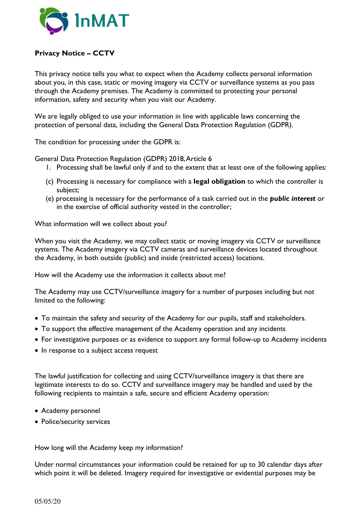

## **Privacy Notice – CCTV**

This privacy notice tells you what to expect when the Academy collects personal information about you, in this case, static or moving imagery via CCTV or surveillance systems as you pass through the Academy premises. The Academy is committed to protecting your personal information, safety and security when you visit our Academy.

We are legally obliged to use your information in line with applicable laws concerning the protection of personal data, including the General Data Protection Regulation (GDPR).

The condition for processing under the GDPR is:

General Data Protection Regulation (GDPR) 2018, Article 6

- 1. Processing shall be lawful only if and to the extent that at least one of the following applies:
- (c) Processing is necessary for compliance with a **legal obligation** to which the controller is subject;
- (e) processing is necessary for the performance of a task carried out in the *public interest* or in the exercise of official authority vested in the controller;

What information will we collect about you?

When you visit the Academy, we may collect static or moving imagery via CCTV or surveillance systems. The Academy imagery via CCTV cameras and surveillance devices located throughout the Academy, in both outside (public) and inside (restricted access) locations.

How will the Academy use the information it collects about me?

The Academy may use CCTV/surveillance imagery for a number of purposes including but not limited to the following:

- To maintain the safety and security of the Academy for our pupils, staff and stakeholders.
- To support the effective management of the Academy operation and any incidents
- For investigative purposes or as evidence to support any formal follow-up to Academy incidents
- In response to a subject access request

The lawful justification for collecting and using CCTV/surveillance imagery is that there are legitimate interests to do so. CCTV and surveillance imagery may be handled and used by the following recipients to maintain a safe, secure and efficient Academy operation:

- Academy personnel
- Police/security services

How long will the Academy keep my information?

Under normal circumstances your information could be retained for up to 30 calendar days after which point it will be deleted. Imagery required for investigative or evidential purposes may be